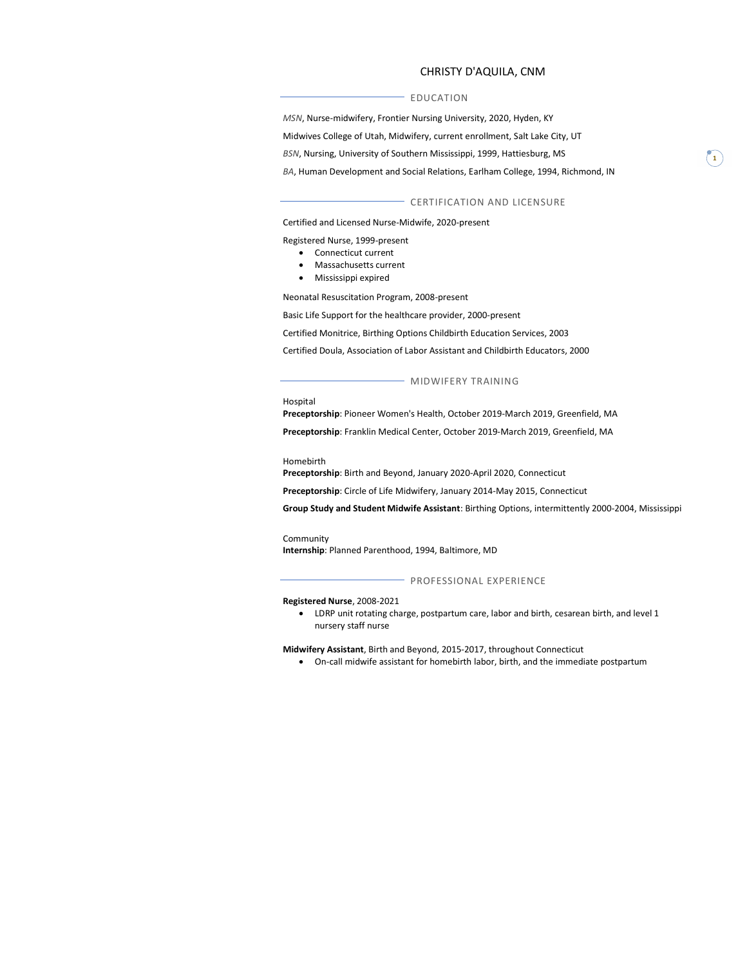## EDUCATION

**CHRISTY D'AQUILA, CNM<br>
DUCATION<br>
Ansing University, 2020, Hyden, KY<br>
Hy, current enrollment, Salt Lake City, UT<br>
Fra Mississippi, 1999, Hattiesburg, MS** MSN, Nurse-midwifery, Frontier Nursing University, 2020, Hyden, KY Midwives College of Utah, Midwifery, current enrollment, Salt Lake City, UT BSN, Nursing, University of Southern Mississippi, 1999, Hattiesburg, MS BA, Human Development and Social Relations, Earlham College, 1994, Richmond, IN

#### CERTIFICATION AND LICENSURE

Certified and Licensed Nurse-Midwife, 2020-present

Registered Nurse, 1999-present

- Connecticut current
- Massachusetts current
- Mississippi expired

Neonatal Resuscitation Program, 2008-present

Basic Life Support for the healthcare provider, 2000-present

Certified Monitrice, Birthing Options Childbirth Education Services, 2003

Certified Doula, Association of Labor Assistant and Childbirth Educators, 2000

MIDWIFERY TRAINING

Hospital

Preceptorship: Pioneer Women's Health, October 2019-March 2019, Greenfield, MA

Preceptorship: Franklin Medical Center, October 2019-March 2019, Greenfield, MA

#### Homebirth

Preceptorship: Birth and Beyond, January 2020-April 2020, Connecticut

Preceptorship: Circle of Life Midwifery, January 2014-May 2015, Connecticut

Group Study and Student Midwife Assistant: Birthing Options, intermittently 2000-2004, Mississippi

#### Community

Internship: Planned Parenthood, 1994, Baltimore, MD

#### - PROFESSIONAL EXPERIENCE

### Registered Nurse, 2008-2021

 LDRP unit rotating charge, postpartum care, labor and birth, cesarean birth, and level 1 nursery staff nurse

Midwifery Assistant, Birth and Beyond, 2015-2017, throughout Connecticut

On-call midwife assistant for homebirth labor, birth, and the immediate postpartum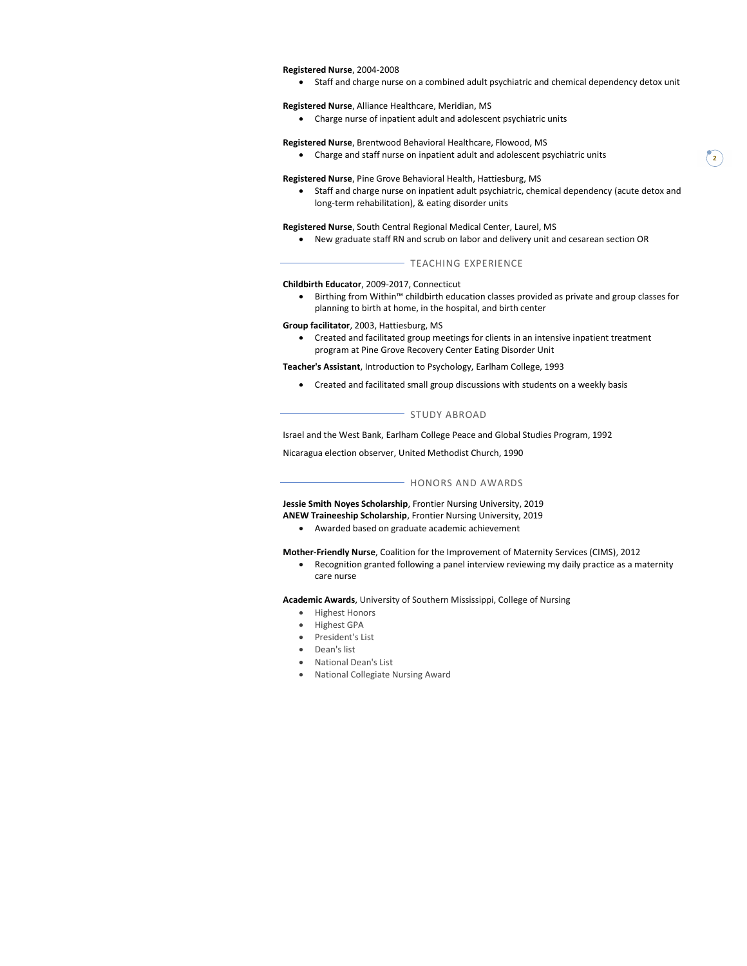#### Registered Nurse, 2004-2008

Staff and charge nurse on a combined adult psychiatric and chemical dependency detox unit

# Registered Nurse, Alliance Healthcare, Meridian, MS

Charge nurse of inpatient adult and adolescent psychiatric units

# Registered Nurse, Brentwood Behavioral Healthcare, Flowood, MS

Charge and staff nurse on inpatient adult and adolescent psychiatric units

#### Registered Nurse, Pine Grove Behavioral Health, Hattiesburg, MS

 Staff and charge nurse on inpatient adult psychiatric, chemical dependency (acute detox and long-term rehabilitation), & eating disorder units

2)

# Registered Nurse, South Central Regional Medical Center, Laurel, MS

New graduate staff RN and scrub on labor and delivery unit and cesarean section OR

#### TEACHING EXPERIENCE

# Childbirth Educator, 2009-2017, Connecticut

• Birthing from Within™ childbirth education classes provided as private and group classes for planning to birth at home, in the hospital, and birth center

## Group facilitator, 2003, Hattiesburg, MS

 Created and facilitated group meetings for clients in an intensive inpatient treatment program at Pine Grove Recovery Center Eating Disorder Unit

Teacher's Assistant, Introduction to Psychology, Earlham College, 1993

Created and facilitated small group discussions with students on a weekly basis

#### - STUDY ABROAD

Israel and the West Bank, Earlham College Peace and Global Studies Program, 1992

Nicaragua election observer, United Methodist Church, 1990

# - HONORS AND AWARDS

Jessie Smith Noyes Scholarship, Frontier Nursing University, 2019 ANEW Traineeship Scholarship, Frontier Nursing University, 2019

Awarded based on graduate academic achievement

Mother-Friendly Nurse, Coalition for the Improvement of Maternity Services (CIMS), 2012

 Recognition granted following a panel interview reviewing my daily practice as a maternity care nurse

Academic Awards, University of Southern Mississippi, College of Nursing

- Highest Honors
- Highest GPA
- President's List
- Dean's list
- National Dean's List
- National Collegiate Nursing Award